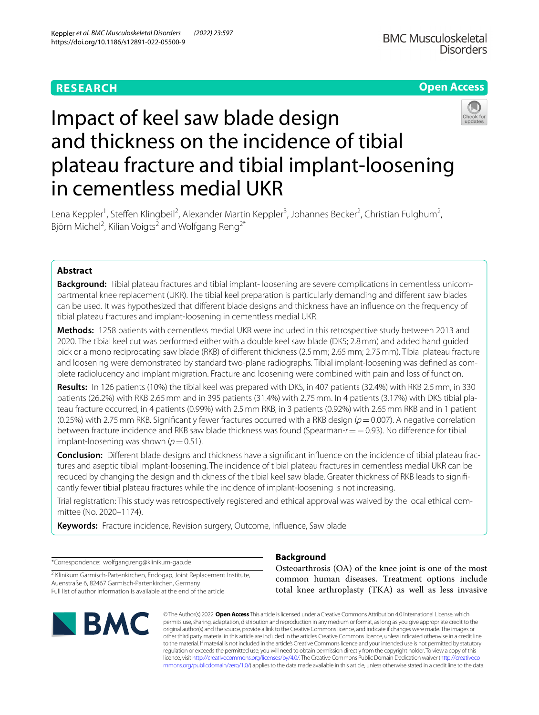# **RESEARCH**

# **Open Access**



# Impact of keel saw blade design and thickness on the incidence of tibial plateau fracture and tibial implant-loosening in cementless medial UKR

Lena Keppler<sup>1</sup>, Steffen Klingbeil<sup>2</sup>, Alexander Martin Keppler<sup>3</sup>, Johannes Becker<sup>2</sup>, Christian Fulghum<sup>2</sup>, Björn Michel<sup>2</sup>, Kilian Voigts<sup>2</sup> and Wolfgang Reng<sup>2\*</sup>

# **Abstract**

**Background:** Tibial plateau fractures and tibial implant- loosening are severe complications in cementless unicompartmental knee replacement (UKR). The tibial keel preparation is particularly demanding and diferent saw blades can be used. It was hypothesized that diferent blade designs and thickness have an infuence on the frequency of tibial plateau fractures and implant-loosening in cementless medial UKR.

**Methods:** 1258 patients with cementless medial UKR were included in this retrospective study between 2013 and 2020. The tibial keel cut was performed either with a double keel saw blade (DKS; 2.8mm) and added hand guided pick or a mono reciprocating saw blade (RKB) of diferent thickness (2.5mm; 2.65mm; 2.75mm). Tibial plateau fracture and loosening were demonstrated by standard two-plane radiographs. Tibial implant-loosening was defned as complete radiolucency and implant migration. Fracture and loosening were combined with pain and loss of function.

**Results:** In 126 patients (10%) the tibial keel was prepared with DKS, in 407 patients (32.4%) with RKB 2.5mm, in 330 patients (26.2%) with RKB 2.65mm and in 395 patients (31.4%) with 2.75mm. In 4 patients (3.17%) with DKS tibial plateau fracture occurred, in 4 patients (0.99%) with 2.5mm RKB, in 3 patients (0.92%) with 2.65mm RKB and in 1 patient (0.25%) with 2.75 mm RKB. Significantly fewer fractures occurred with a RKB design ( $p=0.007$ ). A negative correlation between fracture incidence and RKB saw blade thickness was found (Spearman-*r*=−0.93). No diference for tibial implant-loosening was shown  $(p=0.51)$ .

**Conclusion:** Diferent blade designs and thickness have a signifcant infuence on the incidence of tibial plateau fractures and aseptic tibial implant-loosening. The incidence of tibial plateau fractures in cementless medial UKR can be reduced by changing the design and thickness of the tibial keel saw blade. Greater thickness of RKB leads to signifcantly fewer tibial plateau fractures while the incidence of implant-loosening is not increasing.

Trial registration: This study was retrospectively registered and ethical approval was waived by the local ethical committee (No. 2020–1174).

**Keywords:** Fracture incidence, Revision surgery, Outcome, Infuence, Saw blade

\*Correspondence: wolfgang.reng@klinikum-gap.de

<sup>2</sup> Klinikum Garmisch-Partenkirchen, Endogap, Joint Replacement Institute, Auenstraße 6, 82467 Garmisch-Partenkirchen, Germany Full list of author information is available at the end of the article



# **Background**

Osteoarthrosis (OA) of the knee joint is one of the most common human diseases. Treatment options include total knee arthroplasty (TKA) as well as less invasive

© The Author(s) 2022. **Open Access** This article is licensed under a Creative Commons Attribution 4.0 International License, which permits use, sharing, adaptation, distribution and reproduction in any medium or format, as long as you give appropriate credit to the original author(s) and the source, provide a link to the Creative Commons licence, and indicate if changes were made. The images or other third party material in this article are included in the article's Creative Commons licence, unless indicated otherwise in a credit line to the material. If material is not included in the article's Creative Commons licence and your intended use is not permitted by statutory regulation or exceeds the permitted use, you will need to obtain permission directly from the copyright holder. To view a copy of this licence, visit [http://creativecommons.org/licenses/by/4.0/.](http://creativecommons.org/licenses/by/4.0/) The Creative Commons Public Domain Dedication waiver ([http://creativeco](http://creativecommons.org/publicdomain/zero/1.0/) [mmons.org/publicdomain/zero/1.0/](http://creativecommons.org/publicdomain/zero/1.0/)) applies to the data made available in this article, unless otherwise stated in a credit line to the data.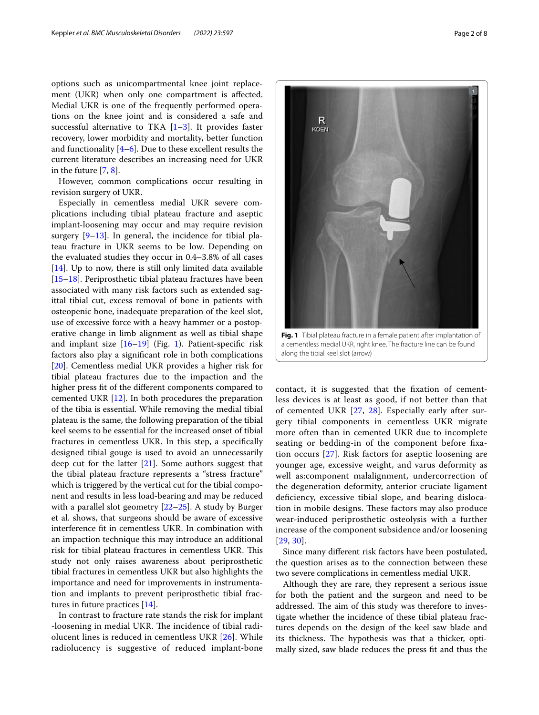options such as unicompartmental knee joint replacement (UKR) when only one compartment is afected. Medial UKR is one of the frequently performed operations on the knee joint and is considered a safe and successful alternative to TKA  $[1-3]$  $[1-3]$ . It provides faster recovery, lower morbidity and mortality, better function and functionality  $[4-6]$  $[4-6]$  $[4-6]$ . Due to these excellent results the current literature describes an increasing need for UKR in the future [[7,](#page-7-1) [8](#page-7-2)].

However, common complications occur resulting in revision surgery of UKR.

Especially in cementless medial UKR severe complications including tibial plateau fracture and aseptic implant-loosening may occur and may require revision surgery [\[9](#page-7-3)[–13](#page-7-4)]. In general, the incidence for tibial plateau fracture in UKR seems to be low. Depending on the evaluated studies they occur in 0.4–3.8% of all cases [[14\]](#page-7-5). Up to now, there is still only limited data available [[15–](#page-7-6)[18](#page-7-7)]. Periprosthetic tibial plateau fractures have been associated with many risk factors such as extended sagittal tibial cut, excess removal of bone in patients with osteopenic bone, inadequate preparation of the keel slot, use of excessive force with a heavy hammer or a postoperative change in limb alignment as well as tibial shape and implant size  $[16–19]$  $[16–19]$  (Fig. [1\)](#page-1-0). Patient-specific risk factors also play a signifcant role in both complications [[20\]](#page-7-10). Cementless medial UKR provides a higher risk for tibial plateau fractures due to the impaction and the higher press ft of the diferent components compared to cemented UKR [[12\]](#page-7-11). In both procedures the preparation of the tibia is essential. While removing the medial tibial plateau is the same, the following preparation of the tibial keel seems to be essential for the increased onset of tibial fractures in cementless UKR. In this step, a specifcally designed tibial gouge is used to avoid an unnecessarily deep cut for the latter [[21\]](#page-7-12). Some authors suggest that the tibial plateau fracture represents a "stress fracture" which is triggered by the vertical cut for the tibial component and results in less load-bearing and may be reduced with a parallel slot geometry [\[22](#page-7-13)–[25\]](#page-7-14). A study by Burger et al. shows, that surgeons should be aware of excessive interference ft in cementless UKR. In combination with an impaction technique this may introduce an additional risk for tibial plateau fractures in cementless UKR. This study not only raises awareness about periprosthetic tibial fractures in cementless UKR but also highlights the importance and need for improvements in instrumentation and implants to prevent periprosthetic tibial fractures in future practices [\[14](#page-7-5)].

In contrast to fracture rate stands the risk for implant -loosening in medial UKR. The incidence of tibial radiolucent lines is reduced in cementless UKR [\[26](#page-7-15)]. While radiolucency is suggestive of reduced implant-bone



<span id="page-1-0"></span>a cementless medial UKR, right knee. The fracture line can be found along the tibial keel slot (arrow)

contact, it is suggested that the fxation of cementless devices is at least as good, if not better than that of cemented UKR [[27,](#page-7-16) [28](#page-7-17)]. Especially early after surgery tibial components in cementless UKR migrate more often than in cemented UKR due to incomplete seating or bedding-in of the component before fxation occurs [[27\]](#page-7-16). Risk factors for aseptic loosening are younger age, excessive weight, and varus deformity as well as:component malalignment, undercorrection of the degeneration deformity, anterior cruciate ligament defciency, excessive tibial slope, and bearing dislocation in mobile designs. These factors may also produce wear-induced periprosthetic osteolysis with a further increase of the component subsidence and/or loosening [[29](#page-7-18), [30](#page-7-19)].

Since many diferent risk factors have been postulated, the question arises as to the connection between these two severe complications in cementless medial UKR.

Although they are rare, they represent a serious issue for both the patient and the surgeon and need to be addressed. The aim of this study was therefore to investigate whether the incidence of these tibial plateau fractures depends on the design of the keel saw blade and its thickness. The hypothesis was that a thicker, optimally sized, saw blade reduces the press ft and thus the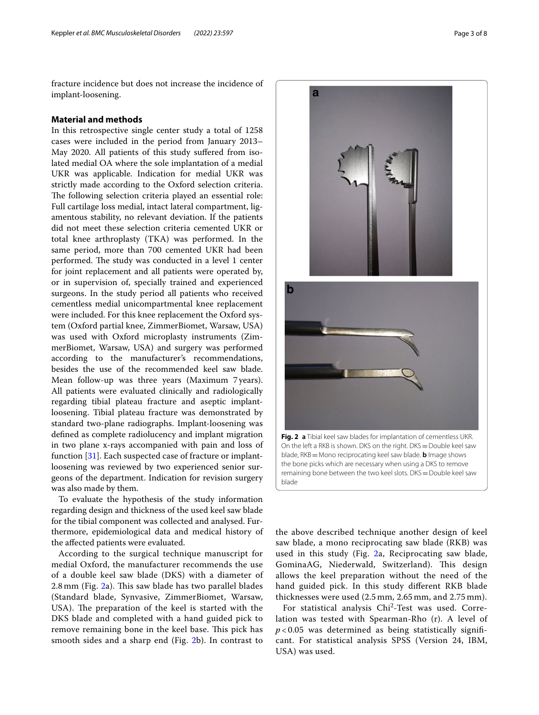fracture incidence but does not increase the incidence of implant-loosening.

## **Material and methods**

In this retrospective single center study a total of 1258 cases were included in the period from January 2013– May 2020. All patients of this study sufered from isolated medial OA where the sole implantation of a medial UKR was applicable. Indication for medial UKR was strictly made according to the Oxford selection criteria. The following selection criteria played an essential role: Full cartilage loss medial, intact lateral compartment, ligamentous stability, no relevant deviation. If the patients did not meet these selection criteria cemented UKR or total knee arthroplasty (TKA) was performed. In the same period, more than 700 cemented UKR had been performed. The study was conducted in a level 1 center for joint replacement and all patients were operated by, or in supervision of, specially trained and experienced surgeons. In the study period all patients who received cementless medial unicompartmental knee replacement were included. For this knee replacement the Oxford system (Oxford partial knee, ZimmerBiomet, Warsaw, USA) was used with Oxford microplasty instruments (ZimmerBiomet, Warsaw, USA) and surgery was performed according to the manufacturer's recommendations, besides the use of the recommended keel saw blade. Mean follow-up was three years (Maximum 7 years). All patients were evaluated clinically and radiologically regarding tibial plateau fracture and aseptic implantloosening. Tibial plateau fracture was demonstrated by standard two-plane radiographs. Implant-loosening was defned as complete radiolucency and implant migration in two plane x-rays accompanied with pain and loss of function [\[31\]](#page-7-20). Each suspected case of fracture or implantloosening was reviewed by two experienced senior surgeons of the department. Indication for revision surgery was also made by them.

To evaluate the hypothesis of the study information regarding design and thickness of the used keel saw blade for the tibial component was collected and analysed. Furthermore, epidemiological data and medical history of the afected patients were evaluated.

According to the surgical technique manuscript for medial Oxford, the manufacturer recommends the use of a double keel saw blade (DKS) with a diameter of 2.8 mm (Fig. [2a](#page-2-0)). This saw blade has two parallel blades (Standard blade, Synvasive, ZimmerBiomet, Warsaw, USA). The preparation of the keel is started with the DKS blade and completed with a hand guided pick to remove remaining bone in the keel base. This pick has smooth sides and a sharp end (Fig. [2b](#page-2-0)). In contrast to



On the left a RKB is shown. DKS on the right. DKS=Double keel saw blade, RKB=Mono reciprocating keel saw blade. **b** Image shows the bone picks which are necessary when using a DKS to remove remaining bone between the two keel slots. DKS = Double keel saw blade

<span id="page-2-0"></span>the above described technique another design of keel saw blade, a mono reciprocating saw blade (RKB) was used in this study (Fig. [2](#page-2-0)a, Reciprocating saw blade, GominaAG, Niederwald, Switzerland). This design allows the keel preparation without the need of the hand guided pick. In this study diferent RKB blade thicknesses were used (2.5 mm, 2.65 mm, and 2.75 mm).

For statistical analysis Chi<sup>2</sup>-Test was used. Correlation was tested with Spearman-Rho (r). A level of  $p$  < 0.05 was determined as being statistically significant. For statistical analysis SPSS (Version 24, IBM, USA) was used.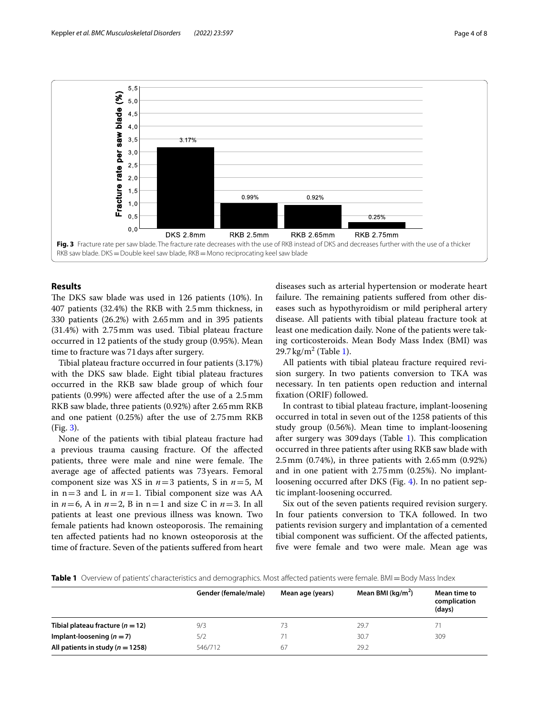

# <span id="page-3-0"></span>**Results**

The DKS saw blade was used in 126 patients (10%). In 407 patients (32.4%) the RKB with 2.5mm thickness, in 330 patients (26.2%) with 2.65mm and in 395 patients (31.4%) with 2.75mm was used. Tibial plateau fracture occurred in 12 patients of the study group (0.95%). Mean time to fracture was 71days after surgery.

Tibial plateau fracture occurred in four patients (3.17%) with the DKS saw blade. Eight tibial plateau fractures occurred in the RKB saw blade group of which four patients (0.99%) were afected after the use of a 2.5mm RKB saw blade, three patients (0.92%) after 2.65mm RKB and one patient (0.25%) after the use of 2.75mm RKB (Fig. [3\)](#page-3-0).

None of the patients with tibial plateau fracture had a previous trauma causing fracture. Of the afected patients, three were male and nine were female. The average age of afected patients was 73years. Femoral component size was XS in *n*=3 patients, S in *n*=5, M in  $n=3$  and L in  $n=1$ . Tibial component size was AA in  $n=6$ , A in  $n=2$ , B in  $n=1$  and size C in  $n=3$ . In all patients at least one previous illness was known. Two female patients had known osteoporosis. The remaining ten afected patients had no known osteoporosis at the time of fracture. Seven of the patients sufered from heart diseases such as arterial hypertension or moderate heart failure. The remaining patients suffered from other diseases such as hypothyroidism or mild peripheral artery disease. All patients with tibial plateau fracture took at least one medication daily. None of the patients were taking corticosteroids. Mean Body Mass Index (BMI) was  $29.7 \,\mathrm{kg/m^2}$  (Table [1\)](#page-3-1).

All patients with tibial plateau fracture required revision surgery. In two patients conversion to TKA was necessary. In ten patients open reduction and internal fxation (ORIF) followed.

In contrast to tibial plateau fracture, implant-loosening occurred in total in seven out of the 1258 patients of this study group (0.56%). Mean time to implant-loosening after surgery was  $309 \text{ days}$  (Table [1](#page-3-1)). This complication occurred in three patients after using RKB saw blade with 2.5mm (0.74%), in three patients with 2.65mm (0.92%) and in one patient with 2.75mm (0.25%). No implantloosening occurred after DKS (Fig. [4](#page-4-0)). In no patient septic implant-loosening occurred.

Six out of the seven patients required revision surgery. In four patients conversion to TKA followed. In two patients revision surgery and implantation of a cemented tibial component was sufficient. Of the affected patients, fve were female and two were male. Mean age was

<span id="page-3-1"></span>**Table 1** Overview of patients' characteristics and demographics. Most affected patients were female. BMI = Body Mass Index

|                                      | Gender (female/male) | Mean age (years) | Mean BMI ( $\text{kg/m}^2$ ) | Mean time to<br>complication<br>(days) |
|--------------------------------------|----------------------|------------------|------------------------------|----------------------------------------|
| Tibial plateau fracture ( $n = 12$ ) | 9/3                  | 73               | 29.7                         | 71                                     |
| Implant-loosening $(n=7)$            | 5/2                  |                  | 30.7                         | 309                                    |
| All patients in study ( $n = 1258$ ) | 546/712              | 67               | 29.2                         |                                        |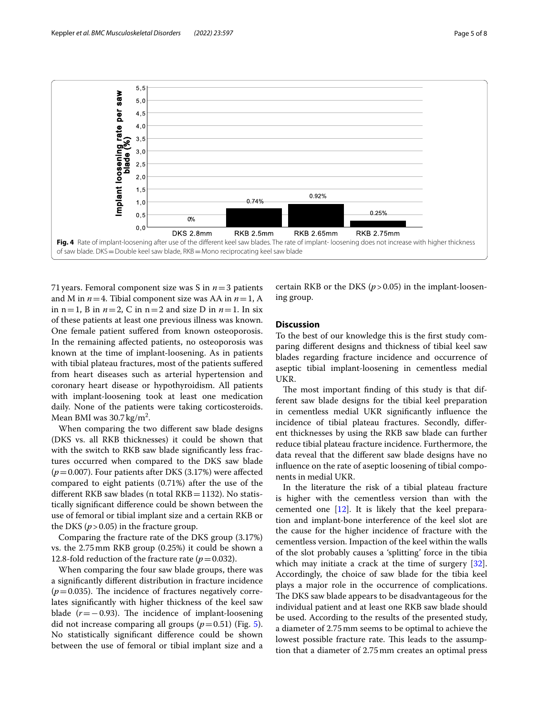

<span id="page-4-0"></span>71years. Femoral component size was S in *n*=3 patients and M in *n*=4. Tibial component size was AA in *n*=1, A in  $n=1$ , B in  $n=2$ , C in  $n=2$  and size D in  $n=1$ . In six of these patients at least one previous illness was known. One female patient sufered from known osteoporosis. In the remaining afected patients, no osteoporosis was known at the time of implant-loosening. As in patients with tibial plateau fractures, most of the patients sufered from heart diseases such as arterial hypertension and coronary heart disease or hypothyroidism. All patients with implant-loosening took at least one medication daily. None of the patients were taking corticosteroids. Mean BMI was  $30.7 \,\mathrm{kg/m^2}$ .

When comparing the two diferent saw blade designs (DKS vs. all RKB thicknesses) it could be shown that with the switch to RKB saw blade significantly less fractures occurred when compared to the DKS saw blade (*p*=0.007). Four patients after DKS (3.17%) were afected compared to eight patients (0.71%) after the use of the different RKB saw blades (n total RKB=1132). No statistically signifcant diference could be shown between the use of femoral or tibial implant size and a certain RKB or the DKS ( $p > 0.05$ ) in the fracture group.

Comparing the fracture rate of the DKS group (3.17%) vs. the 2.75mm RKB group (0.25%) it could be shown a 12.8-fold reduction of the fracture rate  $(p=0.032)$ .

When comparing the four saw blade groups, there was a signifcantly diferent distribution in fracture incidence  $(p=0.035)$ . The incidence of fractures negatively correlates signifcantly with higher thickness of the keel saw blade  $(r=-0.93)$ . The incidence of implant-loosening did not increase comparing all groups  $(p=0.51)$  $(p=0.51)$  $(p=0.51)$  (Fig. 5). No statistically signifcant diference could be shown between the use of femoral or tibial implant size and a

certain RKB or the DKS  $(p > 0.05)$  in the implant-loosening group.

# **Discussion**

To the best of our knowledge this is the frst study comparing diferent designs and thickness of tibial keel saw blades regarding fracture incidence and occurrence of aseptic tibial implant-loosening in cementless medial UKR.

The most important finding of this study is that different saw blade designs for the tibial keel preparation in cementless medial UKR signifcantly infuence the incidence of tibial plateau fractures. Secondly, diferent thicknesses by using the RKB saw blade can further reduce tibial plateau fracture incidence. Furthermore, the data reveal that the diferent saw blade designs have no infuence on the rate of aseptic loosening of tibial components in medial UKR.

In the literature the risk of a tibial plateau fracture is higher with the cementless version than with the cemented one [[12\]](#page-7-11). It is likely that the keel preparation and implant-bone interference of the keel slot are the cause for the higher incidence of fracture with the cementless version. Impaction of the keel within the walls of the slot probably causes a 'splitting' force in the tibia which may initiate a crack at the time of surgery [\[32](#page-7-21)]. Accordingly, the choice of saw blade for the tibia keel plays a major role in the occurrence of complications. The DKS saw blade appears to be disadvantageous for the individual patient and at least one RKB saw blade should be used. According to the results of the presented study, a diameter of 2.75mm seems to be optimal to achieve the lowest possible fracture rate. This leads to the assumption that a diameter of 2.75mm creates an optimal press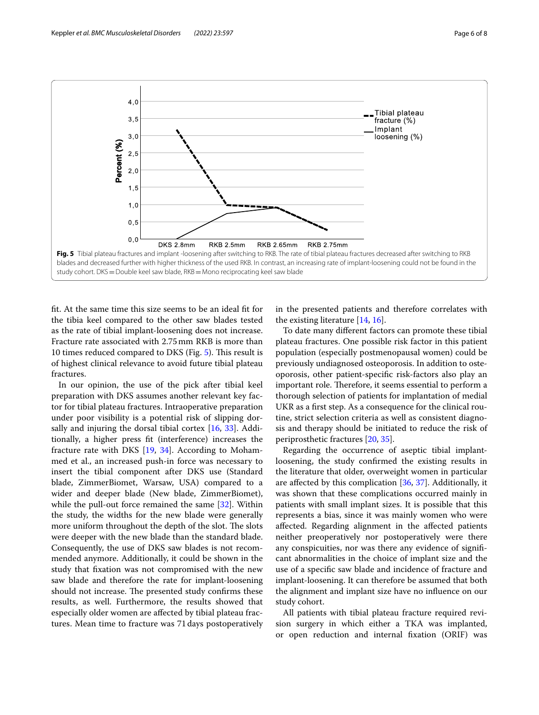

<span id="page-5-0"></span>ft. At the same time this size seems to be an ideal ft for the tibia keel compared to the other saw blades tested as the rate of tibial implant-loosening does not increase. Fracture rate associated with 2.75mm RKB is more than 10 times reduced compared to DKS (Fig. [5\)](#page-5-0). This result is of highest clinical relevance to avoid future tibial plateau fractures.

In our opinion, the use of the pick after tibial keel preparation with DKS assumes another relevant key factor for tibial plateau fractures. Intraoperative preparation under poor visibility is a potential risk of slipping dorsally and injuring the dorsal tibial cortex [\[16,](#page-7-8) [33](#page-7-22)]. Additionally, a higher press ft (interference) increases the fracture rate with DKS  $[19, 34]$  $[19, 34]$  $[19, 34]$  $[19, 34]$ . According to Mohammed et al., an increased push-in force was necessary to insert the tibial component after DKS use (Standard blade, ZimmerBiomet, Warsaw, USA) compared to a wider and deeper blade (New blade, ZimmerBiomet), while the pull-out force remained the same [\[32](#page-7-21)]. Within the study, the widths for the new blade were generally more uniform throughout the depth of the slot. The slots were deeper with the new blade than the standard blade. Consequently, the use of DKS saw blades is not recommended anymore. Additionally, it could be shown in the study that fxation was not compromised with the new saw blade and therefore the rate for implant-loosening should not increase. The presented study confirms these results, as well. Furthermore, the results showed that especially older women are afected by tibial plateau fractures. Mean time to fracture was 71days postoperatively in the presented patients and therefore correlates with the existing literature [\[14](#page-7-5), [16](#page-7-8)].

To date many diferent factors can promote these tibial plateau fractures. One possible risk factor in this patient population (especially postmenopausal women) could be previously undiagnosed osteoporosis. In addition to osteoporosis, other patient-specifc risk-factors also play an important role. Therefore, it seems essential to perform a thorough selection of patients for implantation of medial UKR as a frst step. As a consequence for the clinical routine, strict selection criteria as well as consistent diagnosis and therapy should be initiated to reduce the risk of periprosthetic fractures [\[20](#page-7-10), [35\]](#page-7-24).

Regarding the occurrence of aseptic tibial implantloosening, the study confrmed the existing results in the literature that older, overweight women in particular are affected by this complication  $[36, 37]$  $[36, 37]$  $[36, 37]$  $[36, 37]$  $[36, 37]$ . Additionally, it was shown that these complications occurred mainly in patients with small implant sizes. It is possible that this represents a bias, since it was mainly women who were afected. Regarding alignment in the afected patients neither preoperatively nor postoperatively were there any conspicuities, nor was there any evidence of signifcant abnormalities in the choice of implant size and the use of a specifc saw blade and incidence of fracture and implant-loosening. It can therefore be assumed that both the alignment and implant size have no infuence on our study cohort.

All patients with tibial plateau fracture required revision surgery in which either a TKA was implanted, or open reduction and internal fxation (ORIF) was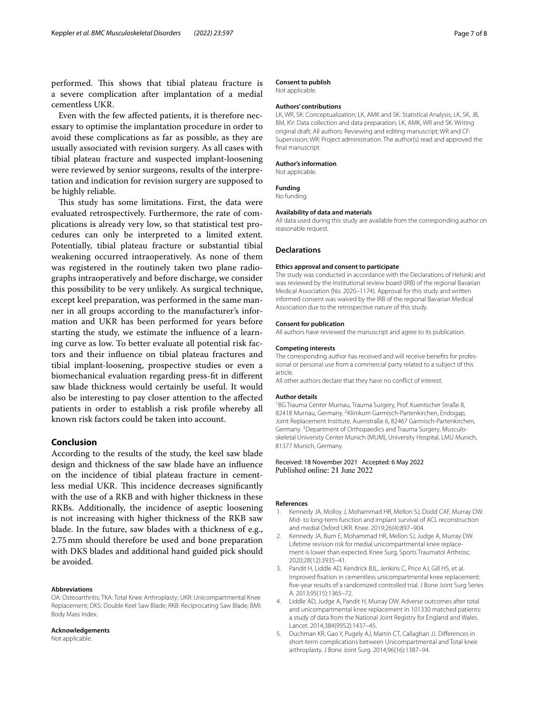performed. This shows that tibial plateau fracture is a severe complication after implantation of a medial cementless UKR.

Even with the few afected patients, it is therefore necessary to optimise the implantation procedure in order to avoid these complications as far as possible, as they are usually associated with revision surgery. As all cases with tibial plateau fracture and suspected implant-loosening were reviewed by senior surgeons, results of the interpretation and indication for revision surgery are supposed to be highly reliable.

This study has some limitations. First, the data were evaluated retrospectively. Furthermore, the rate of complications is already very low, so that statistical test procedures can only be interpreted to a limited extent. Potentially, tibial plateau fracture or substantial tibial weakening occurred intraoperatively. As none of them was registered in the routinely taken two plane radiographs intraoperatively and before discharge, we consider this possibility to be very unlikely. As surgical technique, except keel preparation, was performed in the same manner in all groups according to the manufacturer's information and UKR has been performed for years before starting the study, we estimate the infuence of a learning curve as low. To better evaluate all potential risk factors and their infuence on tibial plateau fractures and tibial implant-loosening, prospective studies or even a biomechanical evaluation regarding press-ft in diferent saw blade thickness would certainly be useful. It would also be interesting to pay closer attention to the afected patients in order to establish a risk profle whereby all known risk factors could be taken into account.

## **Conclusion**

According to the results of the study, the keel saw blade design and thickness of the saw blade have an infuence on the incidence of tibial plateau fracture in cementless medial UKR. This incidence decreases significantly with the use of a RKB and with higher thickness in these RKBs. Additionally, the incidence of aseptic loosening is not increasing with higher thickness of the RKB saw blade. In the future, saw blades with a thickness of e.g., 2.75mm should therefore be used and bone preparation with DKS blades and additional hand guided pick should be avoided.

#### **Abbreviations**

OA: Osteoarthritis; TKA: Total Knee Arthroplasty; UKR: Unicompartmental Knee Replacement; DKS: Double Keel Saw Blade; RKB: Reciprocating Saw Blade; BMI: Body Mass Index.

#### **Acknowledgements**

Not applicable.

#### **Consent to publish**

Not applicable.

## **Authors' contributions**

LK, WR, SK: Conceptualization; LK, AMK and SK: Statistical Analysis; LK, SK, JB, BM, KV: Data collection and data preparation; LK, AMK, WR and SK: Writing original draft; All authors: Reviewing and editing manuscript; WR and CF: Supervision; WR: Project administration. The author(s) read and approved the fnal manuscript.

#### **Author's information**

Not applicable.

#### **Funding**

No funding.

#### **Availability of data and materials**

All data used during this study are available from the corresponding author on reasonable request.

#### **Declarations**

#### **Ethics approval and consent to participate**

The study was conducted in accordance with the Declarations of Helsinki and was reviewed by the Institutional review board (IRB) of the regional Bavarian Medical Association (No. 2020–1174). Approval for this study and written informed consent was waived by the IRB of the regional Bavarian Medical Association due to the retrospective nature of this study.

#### **Consent for publication**

All authors have reviewed the manuscript and agree to its publication.

#### **Competing interests**

The corresponding author has received and will receive benefts for professional or personal use from a commercial party related to a subject of this article.

All other authors declare that they have no confict of interest.

#### **Author details**

<sup>1</sup>BG Trauma Center Murnau, Trauma Surgery, Prof. Kuentscher Straße 8, 82418 Murnau, Germany. <sup>2</sup> Klinikum Garmisch-Partenkirchen, Endogap, Joint Replacement Institute, Auenstraße 6, 82467 Garmisch-Partenkirchen, Germany.<sup>3</sup> Department of Orthopaedics and Trauma Surgery, Musculoskeletal University Center Munich (MUM), University Hospital, LMU Munich, 81377 Munich, Germany.

### Received: 18 November 2021 Accepted: 6 May 2022 Published online: 21 June 2022

#### **References**

- <span id="page-6-0"></span>1. Kennedy JA, Molloy J, Mohammad HR, Mellon SJ, Dodd CAF, Murray DW. Mid- to long-term function and implant survival of ACL reconstruction and medial Oxford UKR. Knee. 2019;26(4):897–904.
- 2. Kennedy JA, Burn E, Mohammad HR, Mellon SJ, Judge A, Murray DW. Lifetime revision risk for medial unicompartmental knee replacement is lower than expected. Knee Surg, Sports Traumatol Arthrosc. 2020;28(12):3935–41.
- <span id="page-6-1"></span>3. Pandit H, Liddle AD, Kendrick BJL, Jenkins C, Price AJ, Gill HS, et al. Improved fxation in cementless unicompartmental knee replacement: fve-year results of a randomized controlled trial. J Bone Joint Surg Series A. 2013;95(15):1365–72.
- <span id="page-6-2"></span>4. Liddle AD, Judge A, Pandit H, Murray DW. Adverse outcomes after total and unicompartmental knee replacement in 101330 matched patients: a study of data from the National Joint Registry for England and Wales. Lancet. 2014;384(9952):1437–45.
- 5. Duchman KR, Gao Y, Pugely AJ, Martin CT, Callaghan JJ. Diferences in short-term complications between Unicompartmental and Total knee arthroplasty. J Bone Joint Surg. 2014;96(16):1387–94.